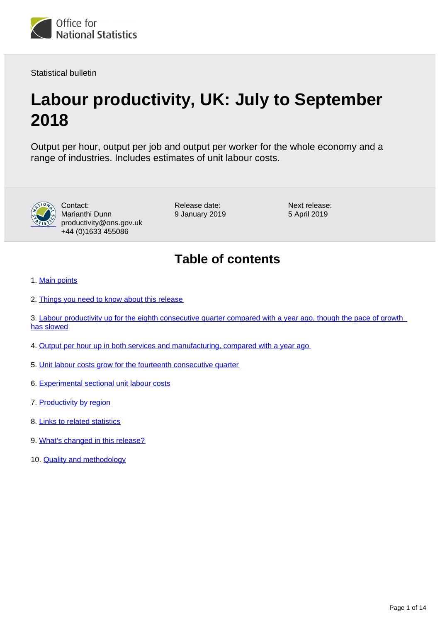

Statistical bulletin

# **Labour productivity, UK: July to September 2018**

Output per hour, output per job and output per worker for the whole economy and a range of industries. Includes estimates of unit labour costs.



Contact: Marianthi Dunn productivity@ons.gov.uk +44 (0)1633 455086

Release date: 9 January 2019 Next release: 5 April 2019

## **Table of contents**

- 1. [Main points](#page-1-0)
- 2. [Things you need to know about this release](#page-1-1)
- 3. Labour productivity up for the eighth consecutive quarter compared with a year ago, though the pace of growth [has slowed](#page-2-0)
- 4. [Output per hour up in both services and manufacturing, compared with a year ago](#page-5-0)
- 5. [Unit labour costs grow for the fourteenth consecutive quarter](#page-5-1)
- 6. [Experimental sectional unit labour costs](#page-7-0)
- 7. [Productivity by region](#page-9-0)
- 8. [Links to related statistics](#page-9-1)
- 9. [What's changed in this release?](#page-11-0)
- 10. **[Quality and methodology](#page-11-1)**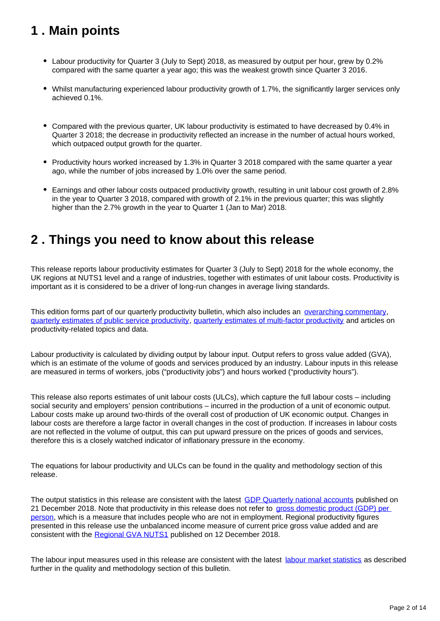## <span id="page-1-0"></span>**1 . Main points**

- Labour productivity for Quarter 3 (July to Sept) 2018, as measured by output per hour, grew by 0.2% compared with the same quarter a year ago; this was the weakest growth since Quarter 3 2016.
- Whilst manufacturing experienced labour productivity growth of 1.7%, the significantly larger services only achieved 0.1%.
- Compared with the previous quarter, UK labour productivity is estimated to have decreased by 0.4% in Quarter 3 2018; the decrease in productivity reflected an increase in the number of actual hours worked, which outpaced output growth for the quarter.
- Productivity hours worked increased by 1.3% in Quarter 3 2018 compared with the same quarter a year ago, while the number of jobs increased by 1.0% over the same period.
- Earnings and other labour costs outpaced productivity growth, resulting in unit labour cost growth of 2.8% in the year to Quarter 3 2018, compared with growth of 2.1% in the previous quarter; this was slightly higher than the 2.7% growth in the year to Quarter 1 (Jan to Mar) 2018.

## <span id="page-1-1"></span>**2 . Things you need to know about this release**

This release reports labour productivity estimates for Quarter 3 (July to Sept) 2018 for the whole economy, the UK regions at NUTS1 level and a range of industries, together with estimates of unit labour costs. Productivity is important as it is considered to be a driver of long-run changes in average living standards.

This edition forms part of our quarterly productivity bulletin, which also includes an [overarching commentary](https://www.ons.gov.uk/employmentandlabourmarket/peopleinwork/labourproductivity/articles/ukproductivityintroduction/previousReleases), [quarterly estimates of public service productivity,](https://www.ons.gov.uk/employmentandlabourmarket/peopleinwork/labourproductivity/articles/quarterlypublicserviceproductivityexperimentalstatistics/previousReleases) [quarterly estimates of multi-factor productivity](https://www.ons.gov.uk/economy/economicoutputandproductivity/productivitymeasures/articles/multifactorproductivityestimates/previousReleases) and articles on productivity-related topics and data.

Labour productivity is calculated by dividing output by labour input. Output refers to gross value added (GVA), which is an estimate of the volume of goods and services produced by an industry. Labour inputs in this release are measured in terms of workers, jobs ("productivity jobs") and hours worked ("productivity hours").

This release also reports estimates of unit labour costs (ULCs), which capture the full labour costs – including social security and employers' pension contributions – incurred in the production of a unit of economic output. Labour costs make up around two-thirds of the overall cost of production of UK economic output. Changes in labour costs are therefore a large factor in overall changes in the cost of production. If increases in labour costs are not reflected in the volume of output, this can put upward pressure on the prices of goods and services, therefore this is a closely watched indicator of inflationary pressure in the economy.

The equations for labour productivity and ULCs can be found in the quality and methodology section of this release.

The output statistics in this release are consistent with the latest [GDP Quarterly national accounts](https://www.ons.gov.uk/economy/grossdomesticproductgdp/bulletins/quarterlynationalaccounts/julytoseptember2018) published on 21 December 2018. Note that productivity in this release does not refer to gross domestic product (GDP) per [person,](https://www.ons.gov.uk/peoplepopulationandcommunity/personalandhouseholdfinances/incomeandwealth/bulletins/economicwellbeing/previousReleases) which is a measure that includes people who are not in employment. Regional productivity figures presented in this release use the unbalanced income measure of current price gross value added and are consistent with the [Regional GVA NUTS1](https://www.ons.gov.uk/economy/grossvalueaddedgva/datasets/regionalgrossvalueaddedincomeapproach) published on 12 December 2018.

The labour input measures used in this release are consistent with the latest [labour market statistics](https://www.ons.gov.uk/employmentandlabourmarket/peopleinwork/employmentandemployeetypes/bulletins/uklabourmarket/previousReleases) as described further in the quality and methodology section of this bulletin.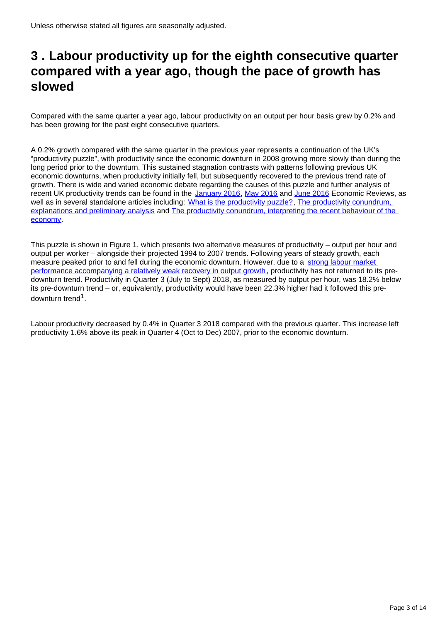## <span id="page-2-0"></span>**3 . Labour productivity up for the eighth consecutive quarter compared with a year ago, though the pace of growth has slowed**

Compared with the same quarter a year ago, labour productivity on an output per hour basis grew by 0.2% and has been growing for the past eight consecutive quarters.

A 0.2% growth compared with the same quarter in the previous year represents a continuation of the UK's "productivity puzzle", with productivity since the economic downturn in 2008 growing more slowly than during the long period prior to the downturn. This sustained stagnation contrasts with patterns following previous UK economic downturns, when productivity initially fell, but subsequently recovered to the previous trend rate of growth. There is wide and varied economic debate regarding the causes of this puzzle and further analysis of recent UK productivity trends can be found in the [January 2016](https://www.ons.gov.uk/economy/nationalaccounts/uksectoraccounts/articles/economicreview/january2016), [May 2016](https://www.ons.gov.uk/economy/nationalaccounts/uksectoraccounts/articles/economicreview/may2016) and [June 2016](https://www.ons.gov.uk/economy/nationalaccounts/uksectoraccounts/articles/economicreview/june2016) Economic Reviews, as well as in several standalone articles including: [What is the productivity puzzle?,](http://visual.ons.gov.uk/productivity-puzzle/) The productivity conundrum, [explanations and preliminary analysis](http://webarchive.nationalarchives.gov.uk/20160105160709/http:/www.ons.gov.uk/ons/rel/elmr/the-productivity-conundrum/explanations-and-preliminary-analysis/art-explanations-and-preliminary-analysis.html) and [The productivity conundrum, interpreting the recent behaviour of the](http://webarchive.nationalarchives.gov.uk/20160105160709/http:/www.ons.gov.uk/ons/rel/elmr/the-productivity-conundrum/interpreting-the-recent-behaviour-of-the-economy/art-interpreting-the-recent-behaviour-of-the-economy.html)  [economy.](http://webarchive.nationalarchives.gov.uk/20160105160709/http:/www.ons.gov.uk/ons/rel/elmr/the-productivity-conundrum/interpreting-the-recent-behaviour-of-the-economy/art-interpreting-the-recent-behaviour-of-the-economy.html)

This puzzle is shown in Figure 1, which presents two alternative measures of productivity – output per hour and output per worker – alongside their projected 1994 to 2007 trends. Following years of steady growth, each measure peaked prior to and fell during the economic downturn. However, due to a strong labour market [performance accompanying a relatively weak recovery in output growth,](https://www.ons.gov.uk/economy/economicoutputandproductivity/productivitymeasures/articles/gdpandthelabourmarket) productivity has not returned to its predownturn trend. Productivity in Quarter 3 (July to Sept) 2018, as measured by output per hour, was 18.2% below its pre-downturn trend – or, equivalently, productivity would have been 22.3% higher had it followed this predownturn trend<sup>1</sup>.

Labour productivity decreased by 0.4% in Quarter 3 2018 compared with the previous quarter. This increase left productivity 1.6% above its peak in Quarter 4 (Oct to Dec) 2007, prior to the economic downturn.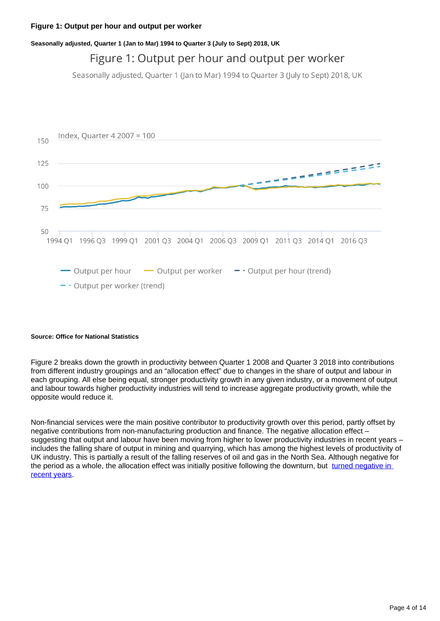#### **Figure 1: Output per hour and output per worker**

#### **Seasonally adjusted, Quarter 1 (Jan to Mar) 1994 to Quarter 3 (July to Sept) 2018, UK**

### Figure 1: Output per hour and output per worker

Seasonally adjusted, Quarter 1 (Jan to Mar) 1994 to Quarter 3 (July to Sept) 2018, UK



#### **Source: Office for National Statistics**

Figure 2 breaks down the growth in productivity between Quarter 1 2008 and Quarter 3 2018 into contributions from different industry groupings and an "allocation effect" due to changes in the share of output and labour in each grouping. All else being equal, stronger productivity growth in any given industry, or a movement of output and labour towards higher productivity industries will tend to increase aggregate productivity growth, while the opposite would reduce it.

Non-financial services were the main positive contributor to productivity growth over this period, partly offset by negative contributions from non-manufacturing production and finance. The negative allocation effect – suggesting that output and labour have been moving from higher to lower productivity industries in recent years – includes the falling share of output in mining and quarrying, which has among the highest levels of productivity of UK industry. This is partially a result of the falling reserves of oil and gas in the North Sea. Although negative for the period as a whole, the allocation effect was initially positive following the downturn, but [turned negative in](https://www.ons.gov.uk/employmentandlabourmarket/peopleinwork/labourproductivity/datasets/annualbreakdownofcontributionswholeeconomyandsectors)  [recent years](https://www.ons.gov.uk/employmentandlabourmarket/peopleinwork/labourproductivity/datasets/annualbreakdownofcontributionswholeeconomyandsectors).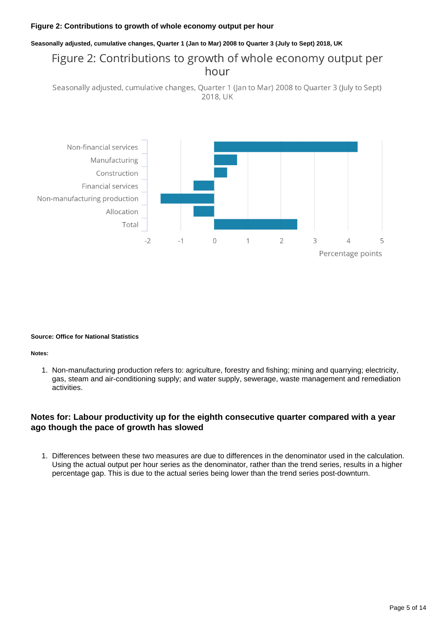#### **Figure 2: Contributions to growth of whole economy output per hour**

#### **Seasonally adjusted, cumulative changes, Quarter 1 (Jan to Mar) 2008 to Quarter 3 (July to Sept) 2018, UK**

### Figure 2: Contributions to growth of whole economy output per hour

Seasonally adjusted, cumulative changes, Quarter 1 (Jan to Mar) 2008 to Quarter 3 (July to Sept) 2018, UK



#### **Source: Office for National Statistics**

#### **Notes:**

1. Non-manufacturing production refers to: agriculture, forestry and fishing; mining and quarrying; electricity, gas, steam and air-conditioning supply; and water supply, sewerage, waste management and remediation activities.

#### **Notes for: Labour productivity up for the eighth consecutive quarter compared with a year ago though the pace of growth has slowed**

1. Differences between these two measures are due to differences in the denominator used in the calculation. Using the actual output per hour series as the denominator, rather than the trend series, results in a higher percentage gap. This is due to the actual series being lower than the trend series post-downturn.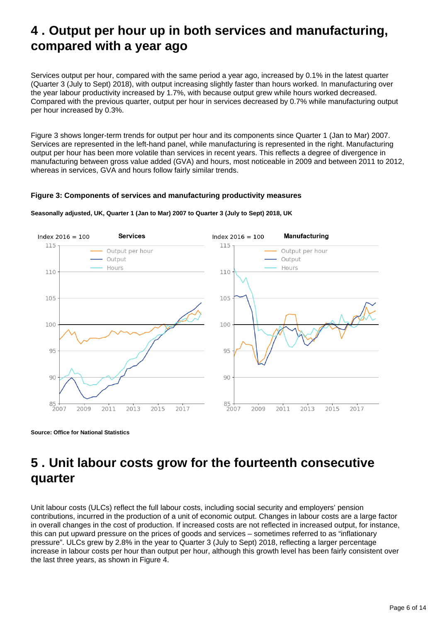## <span id="page-5-0"></span>**4 . Output per hour up in both services and manufacturing, compared with a year ago**

Services output per hour, compared with the same period a year ago, increased by 0.1% in the latest quarter (Quarter 3 (July to Sept) 2018), with output increasing slightly faster than hours worked. In manufacturing over the year labour productivity increased by 1.7%, with because output grew while hours worked decreased. Compared with the previous quarter, output per hour in services decreased by 0.7% while manufacturing output per hour increased by 0.3%.

Figure 3 shows longer-term trends for output per hour and its components since Quarter 1 (Jan to Mar) 2007. Services are represented in the left-hand panel, while manufacturing is represented in the right. Manufacturing output per hour has been more volatile than services in recent years. This reflects a degree of divergence in manufacturing between gross value added (GVA) and hours, most noticeable in 2009 and between 2011 to 2012, whereas in services, GVA and hours follow fairly similar trends.

#### **Figure 3: Components of services and manufacturing productivity measures**



**Seasonally adjusted, UK, Quarter 1 (Jan to Mar) 2007 to Quarter 3 (July to Sept) 2018, UK**

**Source: Office for National Statistics**

## <span id="page-5-1"></span>**5 . Unit labour costs grow for the fourteenth consecutive quarter**

Unit labour costs (ULCs) reflect the full labour costs, including social security and employers' pension contributions, incurred in the production of a unit of economic output. Changes in labour costs are a large factor in overall changes in the cost of production. If increased costs are not reflected in increased output, for instance, this can put upward pressure on the prices of goods and services – sometimes referred to as "inflationary pressure". ULCs grew by 2.8% in the year to Quarter 3 (July to Sept) 2018, reflecting a larger percentage increase in labour costs per hour than output per hour, although this growth level has been fairly consistent over the last three years, as shown in Figure 4.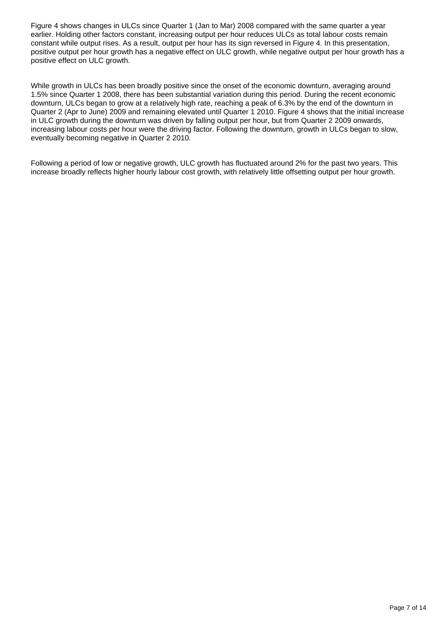Figure 4 shows changes in ULCs since Quarter 1 (Jan to Mar) 2008 compared with the same quarter a year earlier. Holding other factors constant, increasing output per hour reduces ULCs as total labour costs remain constant while output rises. As a result, output per hour has its sign reversed in Figure 4. In this presentation, positive output per hour growth has a negative effect on ULC growth, while negative output per hour growth has a positive effect on ULC growth.

While growth in ULCs has been broadly positive since the onset of the economic downturn, averaging around 1.5% since Quarter 1 2008, there has been substantial variation during this period. During the recent economic downturn, ULCs began to grow at a relatively high rate, reaching a peak of 6.3% by the end of the downturn in Quarter 2 (Apr to June) 2009 and remaining elevated until Quarter 1 2010. Figure 4 shows that the initial increase in ULC growth during the downturn was driven by falling output per hour, but from Quarter 2 2009 onwards, increasing labour costs per hour were the driving factor. Following the downturn, growth in ULCs began to slow, eventually becoming negative in Quarter 2 2010.

Following a period of low or negative growth, ULC growth has fluctuated around 2% for the past two years. This increase broadly reflects higher hourly labour cost growth, with relatively little offsetting output per hour growth.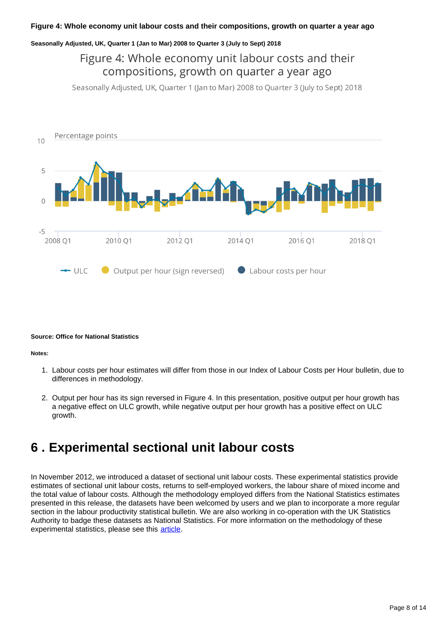#### **Seasonally Adjusted, UK, Quarter 1 (Jan to Mar) 2008 to Quarter 3 (July to Sept) 2018**

### Figure 4: Whole economy unit labour costs and their compositions, growth on quarter a year ago

Seasonally Adjusted, UK, Quarter 1 (Jan to Mar) 2008 to Quarter 3 (July to Sept) 2018



#### **Source: Office for National Statistics**

#### **Notes:**

- 1. Labour costs per hour estimates will differ from those in our Index of Labour Costs per Hour bulletin, due to differences in methodology.
- 2. Output per hour has its sign reversed in Figure 4. In this presentation, positive output per hour growth has a negative effect on ULC growth, while negative output per hour growth has a positive effect on ULC growth.

### <span id="page-7-0"></span>**6 . Experimental sectional unit labour costs**

In November 2012, we introduced a dataset of sectional unit labour costs. These experimental statistics provide estimates of sectional unit labour costs, returns to self-employed workers, the labour share of mixed income and the total value of labour costs. Although the methodology employed differs from the National Statistics estimates presented in this release, the datasets have been welcomed by users and we plan to incorporate a more regular section in the labour productivity statistical bulletin. We are also working in co-operation with the UK Statistics Authority to badge these datasets as National Statistics. For more information on the methodology of these experimental statistics, please see this [article.](https://webarchive.nationalarchives.gov.uk/20160107041913/http:/www.ons.gov.uk/ons/rel/icp/productivity-measures/sectional-unit-labour-costs/art---productivity-measures--sectional-unit-labour-costs.html)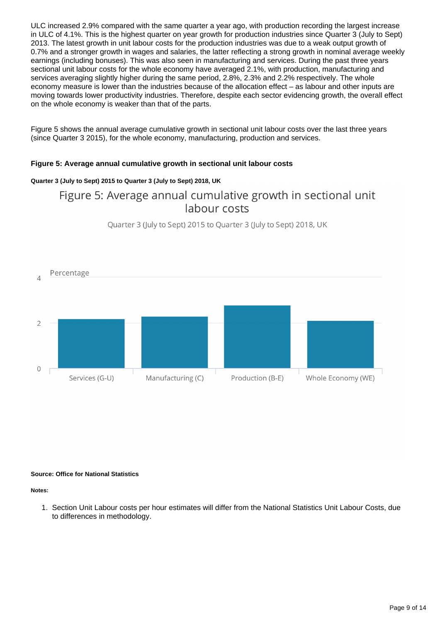ULC increased 2.9% compared with the same quarter a year ago, with production recording the largest increase in ULC of 4.1%. This is the highest quarter on year growth for production industries since Quarter 3 (July to Sept) 2013. The latest growth in unit labour costs for the production industries was due to a weak output growth of 0.7% and a stronger growth in wages and salaries, the latter reflecting a strong growth in nominal average weekly earnings (including bonuses). This was also seen in manufacturing and services. During the past three years sectional unit labour costs for the whole economy have averaged 2.1%, with production, manufacturing and services averaging slightly higher during the same period, 2.8%, 2.3% and 2.2% respectively. The whole economy measure is lower than the industries because of the allocation effect – as labour and other inputs are moving towards lower productivity industries. Therefore, despite each sector evidencing growth, the overall effect on the whole economy is weaker than that of the parts.

Figure 5 shows the annual average cumulative growth in sectional unit labour costs over the last three years (since Quarter 3 2015), for the whole economy, manufacturing, production and services.

#### **Figure 5: Average annual cumulative growth in sectional unit labour costs**

#### **Quarter 3 (July to Sept) 2015 to Quarter 3 (July to Sept) 2018, UK**

### Figure 5: Average annual cumulative growth in sectional unit labour costs

Ouarter 3 (July to Sept) 2015 to Quarter 3 (July to Sept) 2018, UK



#### **Source: Office for National Statistics**

#### **Notes:**

1. Section Unit Labour costs per hour estimates will differ from the National Statistics Unit Labour Costs, due to differences in methodology.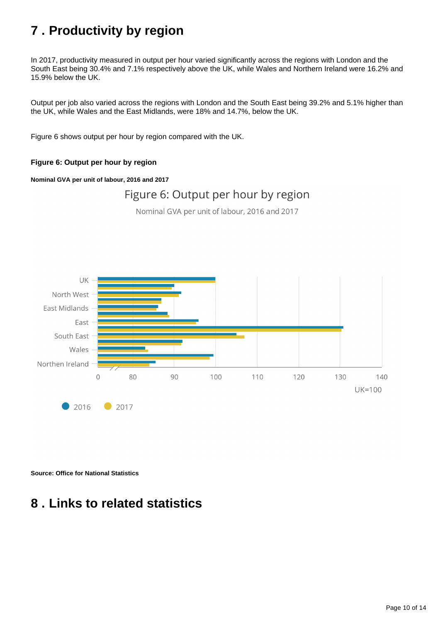## <span id="page-9-0"></span>**7 . Productivity by region**

In 2017, productivity measured in output per hour varied significantly across the regions with London and the South East being 30.4% and 7.1% respectively above the UK, while Wales and Northern Ireland were 16.2% and 15.9% below the UK.

Output per job also varied across the regions with London and the South East being 39.2% and 5.1% higher than the UK, while Wales and the East Midlands, were 18% and 14.7%, below the UK.

Figure 6 shows output per hour by region compared with the UK.

#### **Figure 6: Output per hour by region**

#### **Nominal GVA per unit of labour, 2016 and 2017**

### Figure 6: Output per hour by region

Nominal GVA per unit of labour, 2016 and 2017



**Source: Office for National Statistics**

## <span id="page-9-1"></span>**8 . Links to related statistics**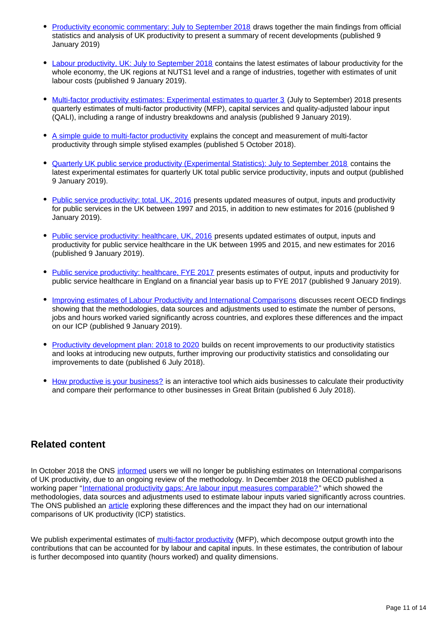- [Productivity economic commentary: July to September 2018](https://www.ons.gov.uk/employmentandlabourmarket/peopleinwork/labourproductivity/articles/ukproductivityintroduction/julytoseptember2018) draws together the main findings from official statistics and analysis of UK productivity to present a summary of recent developments (published 9 January 2019)
- [Labour productivity, UK: July to September 2018](https://www.ons.gov.uk/employmentandlabourmarket/peopleinwork/labourproductivity/bulletins/labourproductivity/julytoseptember2018) contains the latest estimates of labour productivity for the whole economy, the UK regions at NUTS1 level and a range of industries, together with estimates of unit labour costs (published 9 January 2019).
- [Multi-factor productivity estimates: Experimental estimates to quarter 3](https://www.ons.gov.uk/economy/economicoutputandproductivity/productivitymeasures/articles/multifactorproductivityestimates/experimentalestimatestoquarter3julytoseptember2018) (July to September) 2018 presents quarterly estimates of multi-factor productivity (MFP), capital services and quality-adjusted labour input (QALI), including a range of industry breakdowns and analysis (published 9 January 2019).
- [A simple guide to multi-factor productivity](https://www.ons.gov.uk/economy/economicoutputandproductivity/productivitymeasures/methodologies/asimpleguidetomultifactorproductivity) explains the concept and measurement of multi-factor productivity through simple stylised examples (published 5 October 2018).
- [Quarterly UK public service productivity \(Experimental Statistics\): July to September 2018](https://www.ons.gov.uk/employmentandlabourmarket/peopleinwork/labourproductivity/articles/quarterlypublicserviceproductivityexperimentalstatistics/julytoseptember2018) contains the latest experimental estimates for quarterly UK total public service productivity, inputs and output (published 9 January 2019).
- [Public service productivity: total, UK, 2016](https://www.ons.gov.uk/economy/economicoutputandproductivity/publicservicesproductivity/articles/publicservicesproductivityestimatestotalpublicservices/2016) presents updated measures of output, inputs and productivity for public services in the UK between 1997 and 2015, in addition to new estimates for 2016 (published 9 January 2019).
- [Public service productivity: healthcare, UK, 2016](https://www.ons.gov.uk/economy/economicoutputandproductivity/publicservicesproductivity/articles/publicservicesproductivityestimateshealthcare/2016) presents updated estimates of output, inputs and productivity for public service healthcare in the UK between 1995 and 2015, and new estimates for 2016 (published 9 January 2019).
- [Public service productivity: healthcare, FYE 2017](https://www.ons.gov.uk/economy/economicoutputandproductivity/publicservicesproductivity/articles/publicservicesproductivityestimateshealthcare/healthcare2017) presents estimates of output, inputs and productivity for public service healthcare in England on a financial year basis up to FYE 2017 (published 9 January 2019).
- [Improving estimates of Labour Productivity and International Comparisons](https://www.ons.gov.uk/economy/economicoutputandproductivity/productivitymeasures/articles/improvingestimatesoflabourproductivityandinternationalcomparisons/2019-01-09) discusses recent OECD findings showing that the methodologies, data sources and adjustments used to estimate the number of persons, jobs and hours worked varied significantly across countries, and explores these differences and the impact on our ICP (published 9 January 2019).
- [Productivity development plan: 2018 to 2020](https://www.ons.gov.uk/economy/economicoutputandproductivity/productivitymeasures/articles/productivitydevelopmentplan/2018to2020) builds on recent improvements to our productivity statistics and looks at introducing new outputs, further improving our productivity statistics and consolidating our improvements to date (published 6 July 2018).
- [How productive is your business?](https://www.ons.gov.uk/employmentandlabourmarket/peopleinwork/labourproductivity/articles/howproductiveisyourbusiness/2018-07-06) is an interactive tool which aids businesses to calculate their productivity and compare their performance to other businesses in Great Britain (published 6 July 2018).

### **Related content**

In October 2018 the ONS [informed](https://www.ons.gov.uk/employmentandlabourmarket/peopleinwork/labourproductivity/articles/ukproductivityintroduction/apriltojune2018) users we will no longer be publishing estimates on International comparisons of UK productivity, due to an ongoing review of the methodology. In December 2018 the OECD published a working paper "[International productivity gaps: Are labour input measures comparable?"](https://www.oecd-ilibrary.org/economics/international-productivity-gaps_5b43c728-en) which showed the methodologies, data sources and adjustments used to estimate labour inputs varied significantly across countries. The ONS published an [article](https://www.ons.gov.uk/economy/economicoutputandproductivity/productivitymeasures/articles/improvingestimatesoflabourproductivityandinternationalcomparisons/2019-01-09) exploring these differences and the impact they had on our international comparisons of UK productivity (ICP) statistics.

We publish experimental estimates of [multi-factor productivity](https://www.ons.gov.uk/economy/economicoutputandproductivity/productivitymeasures/articles/multifactorproductivityestimates/previousReleases) (MFP), which decompose output growth into the contributions that can be accounted for by labour and capital inputs. In these estimates, the contribution of labour is further decomposed into quantity (hours worked) and quality dimensions.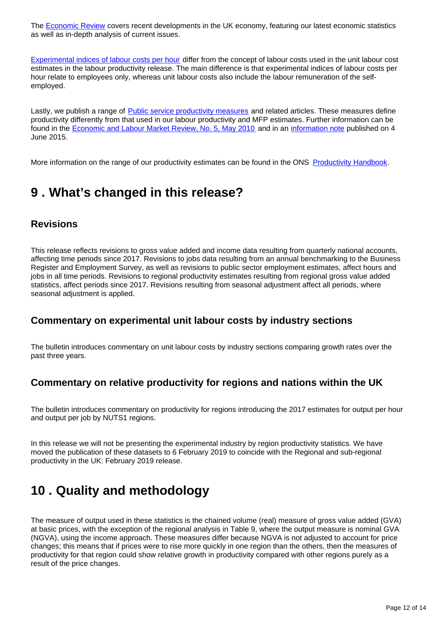The [Economic Review](https://www.ons.gov.uk/economy/nationalaccounts/uksectoraccounts/articles/economicreview/previousReleases) covers recent developments in the UK economy, featuring our latest economic statistics as well as in-depth analysis of current issues.

[Experimental indices of labour costs per hour](https://www.ons.gov.uk/employmentandlabourmarket/peopleinwork/earningsandworkinghours/bulletins/indexoflabourcostsperhourilch/previousReleases) differ from the concept of labour costs used in the unit labour cost estimates in the labour productivity release. The main difference is that experimental indices of labour costs per hour relate to employees only, whereas unit labour costs also include the labour remuneration of the selfemployed.

Lastly, we publish a range of [Public service productivity measures](https://www.ons.gov.uk/economy/economicoutputandproductivity/publicservicesproductivity) and related articles. These measures define productivity differently from that used in our labour productivity and MFP estimates. Further information can be found in the [Economic and Labour Market Review, No. 5, May 2010](http://webarchive.nationalarchives.gov.uk/20160108025519/http:/www.ons.gov.uk/ons/rel/elmr/economic-and-labour-market-review/no--5--may-2010/index.html) and in an [information note](http://webarchive.nationalarchives.gov.uk/20160105160709/http:/www.ons.gov.uk/ons/guide-method/method-quality/specific/economy/productivity-measures/productivity-articles/index.html) published on 4 June 2015.

More information on the range of our productivity estimates can be found in the ONS [Productivity Handbook](https://www.ons.gov.uk/economy/economicoutputandproductivity/productivitymeasures/methodologies/productivityhandbook).

## <span id="page-11-0"></span>**9 . What's changed in this release?**

### **Revisions**

This release reflects revisions to gross value added and income data resulting from quarterly national accounts, affecting time periods since 2017. Revisions to jobs data resulting from an annual benchmarking to the Business Register and Employment Survey, as well as revisions to public sector employment estimates, affect hours and jobs in all time periods. Revisions to regional productivity estimates resulting from regional gross value added statistics, affect periods since 2017. Revisions resulting from seasonal adjustment affect all periods, where seasonal adjustment is applied.

### **Commentary on experimental unit labour costs by industry sections**

The bulletin introduces commentary on unit labour costs by industry sections comparing growth rates over the past three years.

### **Commentary on relative productivity for regions and nations within the UK**

The bulletin introduces commentary on productivity for regions introducing the 2017 estimates for output per hour and output per job by NUTS1 regions.

In this release we will not be presenting the experimental industry by region productivity statistics. We have moved the publication of these datasets to 6 February 2019 to coincide with the Regional and sub-regional productivity in the UK: February 2019 release.

## <span id="page-11-1"></span>**10 . Quality and methodology**

The measure of output used in these statistics is the chained volume (real) measure of gross value added (GVA) at basic prices, with the exception of the regional analysis in Table 9, where the output measure is nominal GVA (NGVA), using the income approach. These measures differ because NGVA is not adjusted to account for price changes; this means that if prices were to rise more quickly in one region than the others, then the measures of productivity for that region could show relative growth in productivity compared with other regions purely as a result of the price changes.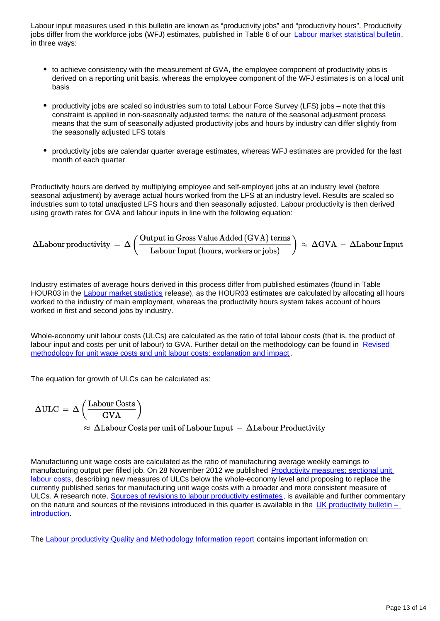Labour input measures used in this bulletin are known as "productivity jobs" and "productivity hours". Productivity jobs differ from the workforce jobs (WFJ) estimates, published in Table 6 of our **Labour market statistical bulletin**, in three ways:

- to achieve consistency with the measurement of GVA, the employee component of productivity jobs is derived on a reporting unit basis, whereas the employee component of the WFJ estimates is on a local unit basis
- productivity jobs are scaled so industries sum to total Labour Force Survey (LFS) jobs note that this constraint is applied in non-seasonally adjusted terms; the nature of the seasonal adjustment process means that the sum of seasonally adjusted productivity jobs and hours by industry can differ slightly from the seasonally adjusted LFS totals
- productivity jobs are calendar quarter average estimates, whereas WFJ estimates are provided for the last month of each quarter

Productivity hours are derived by multiplying employee and self-employed jobs at an industry level (before seasonal adjustment) by average actual hours worked from the LFS at an industry level. Results are scaled so industries sum to total unadjusted LFS hours and then seasonally adjusted. Labour productivity is then derived using growth rates for GVA and labour inputs in line with the following equation:

$$
\Delta \text{Labour productivity} \,=\, \Delta \left(\frac{\text{Output in Gross Value added (GVA) terms}}{\text{Labour Input (hours, workers or jobs)}}\right) \,\approx\, \Delta \text{GVA} \,-\, \Delta \text{Labour Input}
$$

Industry estimates of average hours derived in this process differ from published estimates (found in Table HOUR03 in the [Labour market statistics](https://www.ons.gov.uk/employmentandlabourmarket/peopleinwork/employmentandemployeetypes/bulletins/uklabourmarket/previousReleases) release), as the HOUR03 estimates are calculated by allocating all hours worked to the industry of main employment, whereas the productivity hours system takes account of hours worked in first and second jobs by industry.

Whole-economy unit labour costs (ULCs) are calculated as the ratio of total labour costs (that is, the product of labour input and costs per unit of labour) to GVA. Further detail on the methodology can be found in [Revised](http://webarchive.nationalarchives.gov.uk/20160105160709/http:/www.ons.gov.uk/ons/rel/icp/productivity-measures/revised-methodology-for-unit-wage-costs-and-unit-labour-costs--explanation-and-impact/index.html)  [methodology for unit wage costs and unit labour costs: explanation and impact](http://webarchive.nationalarchives.gov.uk/20160105160709/http:/www.ons.gov.uk/ons/rel/icp/productivity-measures/revised-methodology-for-unit-wage-costs-and-unit-labour-costs--explanation-and-impact/index.html) .

The equation for growth of ULCs can be calculated as:

$$
\begin{split} \Delta \text{ULC} \, & = \, \Delta \left( \frac{\text{Labour Costs}}{\text{GVA}} \right) \\ & \approx \, \Delta \text{Labour Costs per unit of Labour Input} \, - \, \Delta \text{Labour Productivity} \end{split}
$$

Manufacturing unit wage costs are calculated as the ratio of manufacturing average weekly earnings to manufacturing output per filled job. On 28 November 2012 we published [Productivity measures: sectional unit](http://webarchive.nationalarchives.gov.uk/20160105160709/http:/www.ons.gov.uk/ons/rel/icp/productivity-measures/sectional-unit-labour-costs/index.html)  [labour costs](http://webarchive.nationalarchives.gov.uk/20160105160709/http:/www.ons.gov.uk/ons/rel/icp/productivity-measures/sectional-unit-labour-costs/index.html), describing new measures of ULCs below the whole-economy level and proposing to replace the currently published series for manufacturing unit wage costs with a broader and more consistent measure of ULCs. A research note, [Sources of revisions to labour productivity estimates](http://webarchive.nationalarchives.gov.uk/20160105160709/http:/www.ons.gov.uk/ons/rel/productivity/labour-productivity/q1-2012/index.html), is available and further commentary on the nature and sources of the revisions introduced in this quarter is available in the UK productivity bulletin  $$ [introduction](https://www.ons.gov.uk/employmentandlabourmarket/peopleinwork/labourproductivity/articles/ukproductivityintroduction/previousReleases).

The [Labour productivity Quality and Methodology Information report](https://www.ons.gov.uk/employmentandlabourmarket/peopleinwork/labourproductivity/qmis/labourproductivityqmi) contains important information on: